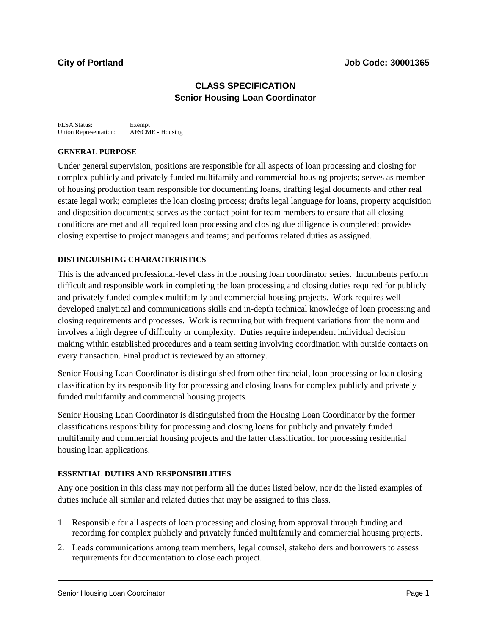# **CLASS SPECIFICATION Senior Housing Loan Coordinator**

FLSA Status: Exempt Union Representation: AFSCME - Housing

### **GENERAL PURPOSE**

Under general supervision, positions are responsible for all aspects of loan processing and closing for complex publicly and privately funded multifamily and commercial housing projects; serves as member of housing production team responsible for documenting loans, drafting legal documents and other real estate legal work; completes the loan closing process; drafts legal language for loans, property acquisition and disposition documents; serves as the contact point for team members to ensure that all closing conditions are met and all required loan processing and closing due diligence is completed; provides closing expertise to project managers and teams; and performs related duties as assigned.

## **DISTINGUISHING CHARACTERISTICS**

This is the advanced professional-level class in the housing loan coordinator series. Incumbents perform difficult and responsible work in completing the loan processing and closing duties required for publicly and privately funded complex multifamily and commercial housing projects. Work requires well developed analytical and communications skills and in-depth technical knowledge of loan processing and closing requirements and processes. Work is recurring but with frequent variations from the norm and involves a high degree of difficulty or complexity. Duties require independent individual decision making within established procedures and a team setting involving coordination with outside contacts on every transaction. Final product is reviewed by an attorney.

Senior Housing Loan Coordinator is distinguished from other financial, loan processing or loan closing classification by its responsibility for processing and closing loans for complex publicly and privately funded multifamily and commercial housing projects.

Senior Housing Loan Coordinator is distinguished from the Housing Loan Coordinator by the former classifications responsibility for processing and closing loans for publicly and privately funded multifamily and commercial housing projects and the latter classification for processing residential housing loan applications.

### **ESSENTIAL DUTIES AND RESPONSIBILITIES**

Any one position in this class may not perform all the duties listed below, nor do the listed examples of duties include all similar and related duties that may be assigned to this class.

- 1. Responsible for all aspects of loan processing and closing from approval through funding and recording for complex publicly and privately funded multifamily and commercial housing projects.
- 2. Leads communications among team members, legal counsel, stakeholders and borrowers to assess requirements for documentation to close each project.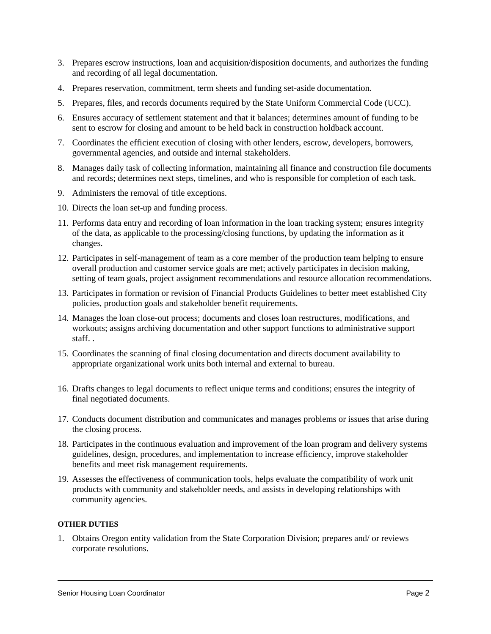- 3. Prepares escrow instructions, loan and acquisition/disposition documents, and authorizes the funding and recording of all legal documentation.
- 4. Prepares reservation, commitment, term sheets and funding set-aside documentation.
- 5. Prepares, files, and records documents required by the State Uniform Commercial Code (UCC).
- 6. Ensures accuracy of settlement statement and that it balances; determines amount of funding to be sent to escrow for closing and amount to be held back in construction holdback account.
- 7. Coordinates the efficient execution of closing with other lenders, escrow, developers, borrowers, governmental agencies, and outside and internal stakeholders.
- 8. Manages daily task of collecting information, maintaining all finance and construction file documents and records; determines next steps, timelines, and who is responsible for completion of each task.
- 9. Administers the removal of title exceptions.
- 10. Directs the loan set-up and funding process.
- 11. Performs data entry and recording of loan information in the loan tracking system; ensures integrity of the data, as applicable to the processing/closing functions, by updating the information as it changes.
- 12. Participates in self-management of team as a core member of the production team helping to ensure overall production and customer service goals are met; actively participates in decision making, setting of team goals, project assignment recommendations and resource allocation recommendations.
- 13. Participates in formation or revision of Financial Products Guidelines to better meet established City policies, production goals and stakeholder benefit requirements.
- 14. Manages the loan close-out process; documents and closes loan restructures, modifications, and workouts; assigns archiving documentation and other support functions to administrative support staff. .
- 15. Coordinates the scanning of final closing documentation and directs document availability to appropriate organizational work units both internal and external to bureau.
- 16. Drafts changes to legal documents to reflect unique terms and conditions; ensures the integrity of final negotiated documents.
- 17. Conducts document distribution and communicates and manages problems or issues that arise during the closing process.
- 18. Participates in the continuous evaluation and improvement of the loan program and delivery systems guidelines, design, procedures, and implementation to increase efficiency, improve stakeholder benefits and meet risk management requirements.
- 19. Assesses the effectiveness of communication tools, helps evaluate the compatibility of work unit products with community and stakeholder needs, and assists in developing relationships with community agencies.

## **OTHER DUTIES**

1. Obtains Oregon entity validation from the State Corporation Division; prepares and/ or reviews corporate resolutions.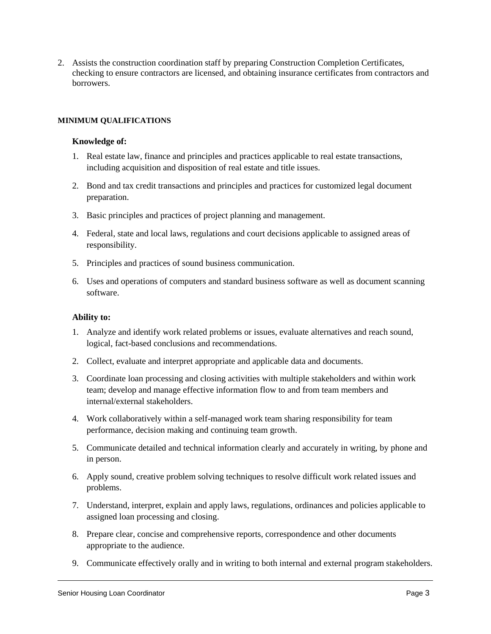2. Assists the construction coordination staff by preparing Construction Completion Certificates, checking to ensure contractors are licensed, and obtaining insurance certificates from contractors and borrowers.

#### **MINIMUM QUALIFICATIONS**

#### **Knowledge of:**

- 1. Real estate law, finance and principles and practices applicable to real estate transactions, including acquisition and disposition of real estate and title issues.
- 2. Bond and tax credit transactions and principles and practices for customized legal document preparation.
- 3. Basic principles and practices of project planning and management.
- 4. Federal, state and local laws, regulations and court decisions applicable to assigned areas of responsibility.
- 5. Principles and practices of sound business communication.
- 6. Uses and operations of computers and standard business software as well as document scanning software.

#### **Ability to:**

- 1. Analyze and identify work related problems or issues, evaluate alternatives and reach sound, logical, fact-based conclusions and recommendations.
- 2. Collect, evaluate and interpret appropriate and applicable data and documents.
- 3. Coordinate loan processing and closing activities with multiple stakeholders and within work team; develop and manage effective information flow to and from team members and internal/external stakeholders.
- 4. Work collaboratively within a self-managed work team sharing responsibility for team performance, decision making and continuing team growth.
- 5. Communicate detailed and technical information clearly and accurately in writing, by phone and in person.
- 6. Apply sound, creative problem solving techniques to resolve difficult work related issues and problems.
- 7. Understand, interpret, explain and apply laws, regulations, ordinances and policies applicable to assigned loan processing and closing.
- 8. Prepare clear, concise and comprehensive reports, correspondence and other documents appropriate to the audience.
- 9. Communicate effectively orally and in writing to both internal and external program stakeholders.